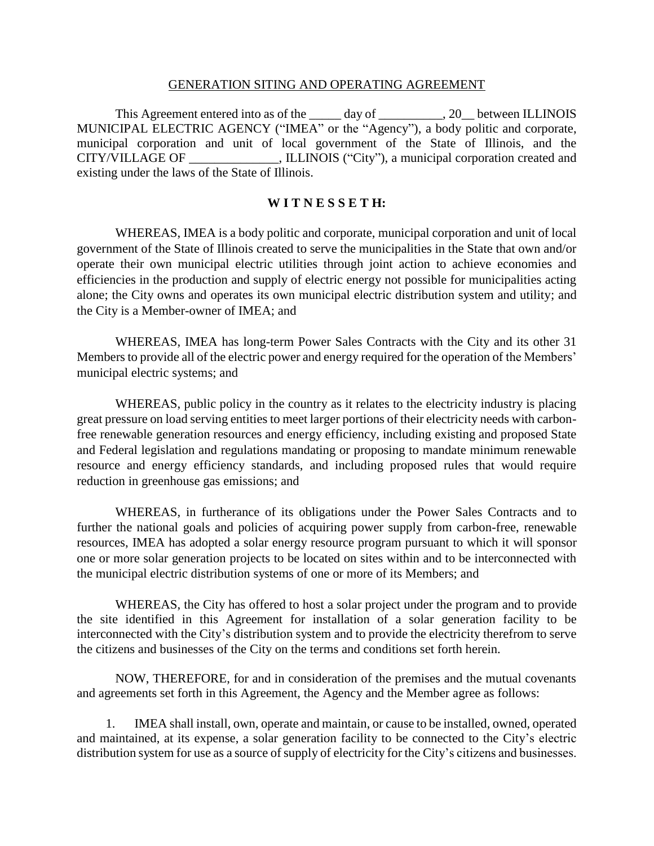#### GENERATION SITING AND OPERATING AGREEMENT

This Agreement entered into as of the day of the  $\qquad 20$  between ILLINOIS MUNICIPAL ELECTRIC AGENCY ("IMEA" or the "Agency"), a body politic and corporate, municipal corporation and unit of local government of the State of Illinois, and the CITY/VILLAGE OF \_\_\_\_\_\_\_\_\_\_\_\_\_\_, ILLINOIS ("City"), a municipal corporation created and existing under the laws of the State of Illinois.

#### **W I T N E S S E T H:**

WHEREAS, IMEA is a body politic and corporate, municipal corporation and unit of local government of the State of Illinois created to serve the municipalities in the State that own and/or operate their own municipal electric utilities through joint action to achieve economies and efficiencies in the production and supply of electric energy not possible for municipalities acting alone; the City owns and operates its own municipal electric distribution system and utility; and the City is a Member-owner of IMEA; and

WHEREAS, IMEA has long-term Power Sales Contracts with the City and its other 31 Members to provide all of the electric power and energy required for the operation of the Members' municipal electric systems; and

WHEREAS, public policy in the country as it relates to the electricity industry is placing great pressure on load serving entities to meet larger portions of their electricity needs with carbonfree renewable generation resources and energy efficiency, including existing and proposed State and Federal legislation and regulations mandating or proposing to mandate minimum renewable resource and energy efficiency standards, and including proposed rules that would require reduction in greenhouse gas emissions; and

WHEREAS, in furtherance of its obligations under the Power Sales Contracts and to further the national goals and policies of acquiring power supply from carbon-free, renewable resources, IMEA has adopted a solar energy resource program pursuant to which it will sponsor one or more solar generation projects to be located on sites within and to be interconnected with the municipal electric distribution systems of one or more of its Members; and

WHEREAS, the City has offered to host a solar project under the program and to provide the site identified in this Agreement for installation of a solar generation facility to be interconnected with the City's distribution system and to provide the electricity therefrom to serve the citizens and businesses of the City on the terms and conditions set forth herein.

NOW, THEREFORE, for and in consideration of the premises and the mutual covenants and agreements set forth in this Agreement, the Agency and the Member agree as follows:

1. IMEA shall install, own, operate and maintain, or cause to be installed, owned, operated and maintained, at its expense, a solar generation facility to be connected to the City's electric distribution system for use as a source of supply of electricity for the City's citizens and businesses.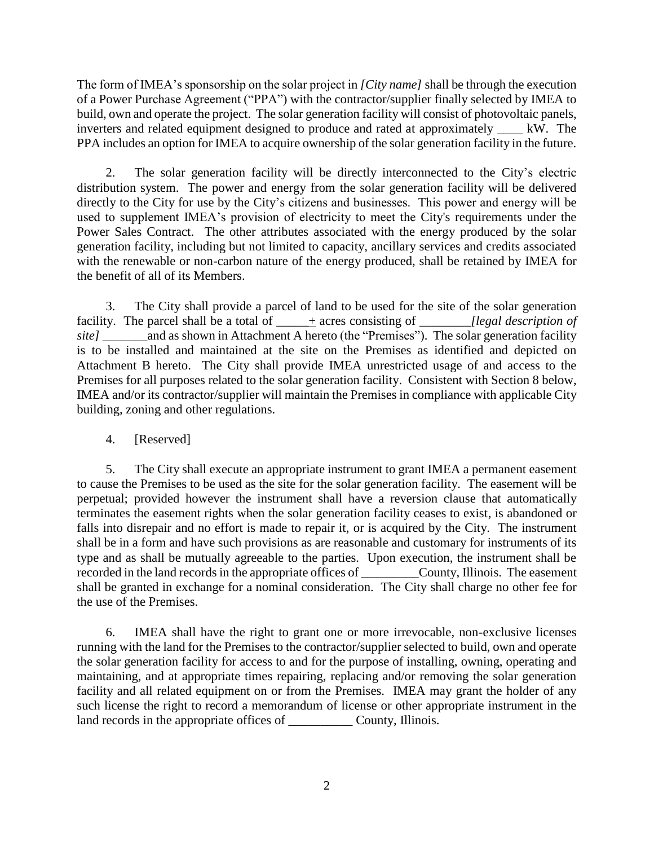The form of IMEA's sponsorship on the solar project in *[City name]* shall be through the execution of a Power Purchase Agreement ("PPA") with the contractor/supplier finally selected by IMEA to build, own and operate the project. The solar generation facility will consist of photovoltaic panels, inverters and related equipment designed to produce and rated at approximately  $\quad$  kW. The PPA includes an option for IMEA to acquire ownership of the solar generation facility in the future.

2. The solar generation facility will be directly interconnected to the City's electric distribution system. The power and energy from the solar generation facility will be delivered directly to the City for use by the City's citizens and businesses. This power and energy will be used to supplement IMEA's provision of electricity to meet the City's requirements under the Power Sales Contract. The other attributes associated with the energy produced by the solar generation facility, including but not limited to capacity, ancillary services and credits associated with the renewable or non-carbon nature of the energy produced, shall be retained by IMEA for the benefit of all of its Members.

3. The City shall provide a parcel of land to be used for the site of the solar generation facility. The parcel shall be a total of \_\_\_\_\_+ acres consisting of *\_\_\_\_\_\_\_\_[legal description of site]* and as shown in Attachment A hereto (the "Premises"). The solar generation facility is to be installed and maintained at the site on the Premises as identified and depicted on Attachment B hereto. The City shall provide IMEA unrestricted usage of and access to the Premises for all purposes related to the solar generation facility. Consistent with Section 8 below, IMEA and/or its contractor/supplier will maintain the Premises in compliance with applicable City building, zoning and other regulations.

### 4. [Reserved]

5. The City shall execute an appropriate instrument to grant IMEA a permanent easement to cause the Premises to be used as the site for the solar generation facility. The easement will be perpetual; provided however the instrument shall have a reversion clause that automatically terminates the easement rights when the solar generation facility ceases to exist, is abandoned or falls into disrepair and no effort is made to repair it, or is acquired by the City. The instrument shall be in a form and have such provisions as are reasonable and customary for instruments of its type and as shall be mutually agreeable to the parties. Upon execution, the instrument shall be recorded in the land records in the appropriate offices of \_\_\_\_\_\_\_\_\_County, Illinois. The easement shall be granted in exchange for a nominal consideration. The City shall charge no other fee for the use of the Premises.

6. IMEA shall have the right to grant one or more irrevocable, non-exclusive licenses running with the land for the Premises to the contractor/supplier selected to build, own and operate the solar generation facility for access to and for the purpose of installing, owning, operating and maintaining, and at appropriate times repairing, replacing and/or removing the solar generation facility and all related equipment on or from the Premises. IMEA may grant the holder of any such license the right to record a memorandum of license or other appropriate instrument in the land records in the appropriate offices of \_\_\_\_\_\_\_\_\_\_\_\_ County, Illinois.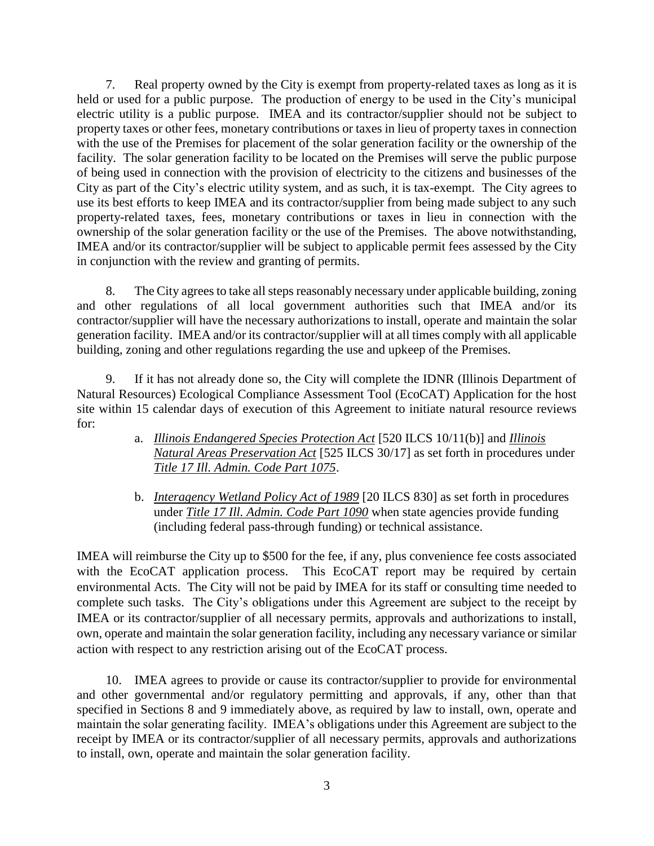7. Real property owned by the City is exempt from property-related taxes as long as it is held or used for a public purpose. The production of energy to be used in the City's municipal electric utility is a public purpose. IMEA and its contractor/supplier should not be subject to property taxes or other fees, monetary contributions or taxes in lieu of property taxes in connection with the use of the Premises for placement of the solar generation facility or the ownership of the facility. The solar generation facility to be located on the Premises will serve the public purpose of being used in connection with the provision of electricity to the citizens and businesses of the City as part of the City's electric utility system, and as such, it is tax-exempt. The City agrees to use its best efforts to keep IMEA and its contractor/supplier from being made subject to any such property-related taxes, fees, monetary contributions or taxes in lieu in connection with the ownership of the solar generation facility or the use of the Premises. The above notwithstanding, IMEA and/or its contractor/supplier will be subject to applicable permit fees assessed by the City in conjunction with the review and granting of permits.

8. The City agrees to take all steps reasonably necessary under applicable building, zoning and other regulations of all local government authorities such that IMEA and/or its contractor/supplier will have the necessary authorizations to install, operate and maintain the solar generation facility. IMEA and/or its contractor/supplier will at all times comply with all applicable building, zoning and other regulations regarding the use and upkeep of the Premises.

If it has not already done so, the City will complete the IDNR (Illinois Department of Natural Resources) Ecological Compliance Assessment Tool (EcoCAT) Application for the host site within 15 calendar days of execution of this Agreement to initiate natural resource reviews for:

- a. *[Illinois Endangered Species Protection Act](http://www.ilga.gov/legislation/ilcs/ilcs3.asp?ActID=1730&ChapAct=520%26nbsp%3BILCS%26nbsp%3B10%2F&ChapterID=43&ChapterName=WILDLIFE&ActName=Illinois%2BEndangered%2BSpecies%2BProtection%2BAct%2E)* [520 ILCS 10/11(b)] and *[Illinois](http://www.ilga.gov/legislation/ilcs/ilcs3.asp?ActID=1739&ChapAct=525%26nbsp%3BILCS%26nbsp%3B30%2F&ChapterID=44&ChapterName=CONSERVATION&ActName=Illinois%2BNatural%2BAreas%2BPreservation%2BAct%2E)  [Natural Areas Preservation Act](http://www.ilga.gov/legislation/ilcs/ilcs3.asp?ActID=1739&ChapAct=525%26nbsp%3BILCS%26nbsp%3B30%2F&ChapterID=44&ChapterName=CONSERVATION&ActName=Illinois%2BNatural%2BAreas%2BPreservation%2BAct%2E)* [525 ILCS 30/17] as set forth in procedures under *[Title 17 Ill. Admin. Code Part 1075](http://www.dnr.illinois.gov/adrules/documents/17-1075.pdf)*.
- b. *[Interagency Wetland Policy Act of 1989](http://www.ilga.gov/legislation/ilcs/ilcs3.asp?ActID=279&ChapAct=20%26nbsp%3BILCS%26nbsp%3B830%2F&ChapterID=5&ChapterName=EXECUTIVE%2BBRANCH&ActName=Interagency%2BWetland%2BPolicy%2BAct%2Bof%2B1989%2E)* [20 ILCS 830] as set forth in procedures under *[Title 17 Ill. Admin. Code Part 1090](http://www.dnr.illinois.gov/adrules/documents/17-1090.pdf)* when state agencies provide funding (including federal pass-through funding) or technical assistance.

IMEA will reimburse the City up to \$500 for the fee, if any, plus convenience fee costs associated with the EcoCAT application process. This EcoCAT report may be required by certain environmental Acts. The City will not be paid by IMEA for its staff or consulting time needed to complete such tasks. The City's obligations under this Agreement are subject to the receipt by IMEA or its contractor/supplier of all necessary permits, approvals and authorizations to install, own, operate and maintain the solar generation facility, including any necessary variance or similar action with respect to any restriction arising out of the EcoCAT process.

10. IMEA agrees to provide or cause its contractor/supplier to provide for environmental and other governmental and/or regulatory permitting and approvals, if any, other than that specified in Sections 8 and 9 immediately above, as required by law to install, own, operate and maintain the solar generating facility. IMEA's obligations under this Agreement are subject to the receipt by IMEA or its contractor/supplier of all necessary permits, approvals and authorizations to install, own, operate and maintain the solar generation facility.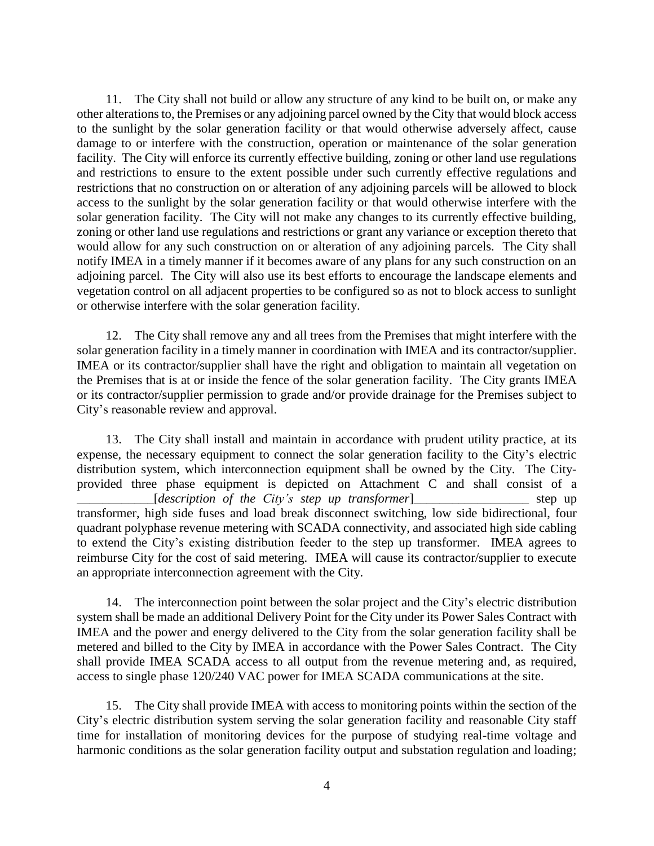11. The City shall not build or allow any structure of any kind to be built on, or make any other alterations to, the Premises or any adjoining parcel owned by the City that would block access to the sunlight by the solar generation facility or that would otherwise adversely affect, cause damage to or interfere with the construction, operation or maintenance of the solar generation facility. The City will enforce its currently effective building, zoning or other land use regulations and restrictions to ensure to the extent possible under such currently effective regulations and restrictions that no construction on or alteration of any adjoining parcels will be allowed to block access to the sunlight by the solar generation facility or that would otherwise interfere with the solar generation facility. The City will not make any changes to its currently effective building, zoning or other land use regulations and restrictions or grant any variance or exception thereto that would allow for any such construction on or alteration of any adjoining parcels. The City shall notify IMEA in a timely manner if it becomes aware of any plans for any such construction on an adjoining parcel. The City will also use its best efforts to encourage the landscape elements and vegetation control on all adjacent properties to be configured so as not to block access to sunlight or otherwise interfere with the solar generation facility.

12. The City shall remove any and all trees from the Premises that might interfere with the solar generation facility in a timely manner in coordination with IMEA and its contractor/supplier. IMEA or its contractor/supplier shall have the right and obligation to maintain all vegetation on the Premises that is at or inside the fence of the solar generation facility. The City grants IMEA or its contractor/supplier permission to grade and/or provide drainage for the Premises subject to City's reasonable review and approval.

13. The City shall install and maintain in accordance with prudent utility practice, at its expense, the necessary equipment to connect the solar generation facility to the City's electric distribution system, which interconnection equipment shall be owned by the City. The Cityprovided three phase equipment is depicted on Attachment C and shall consist of a \_\_\_\_\_\_\_\_\_\_\_\_[*description of the City's step up transformer*]\_\_\_\_\_\_\_\_\_\_\_\_\_\_\_\_\_\_ step up transformer, high side fuses and load break disconnect switching, low side bidirectional, four quadrant polyphase revenue metering with SCADA connectivity, and associated high side cabling to extend the City's existing distribution feeder to the step up transformer. IMEA agrees to reimburse City for the cost of said metering. IMEA will cause its contractor/supplier to execute an appropriate interconnection agreement with the City.

14. The interconnection point between the solar project and the City's electric distribution system shall be made an additional Delivery Point for the City under its Power Sales Contract with IMEA and the power and energy delivered to the City from the solar generation facility shall be metered and billed to the City by IMEA in accordance with the Power Sales Contract. The City shall provide IMEA SCADA access to all output from the revenue metering and, as required, access to single phase 120/240 VAC power for IMEA SCADA communications at the site.

15. The City shall provide IMEA with access to monitoring points within the section of the City's electric distribution system serving the solar generation facility and reasonable City staff time for installation of monitoring devices for the purpose of studying real-time voltage and harmonic conditions as the solar generation facility output and substation regulation and loading;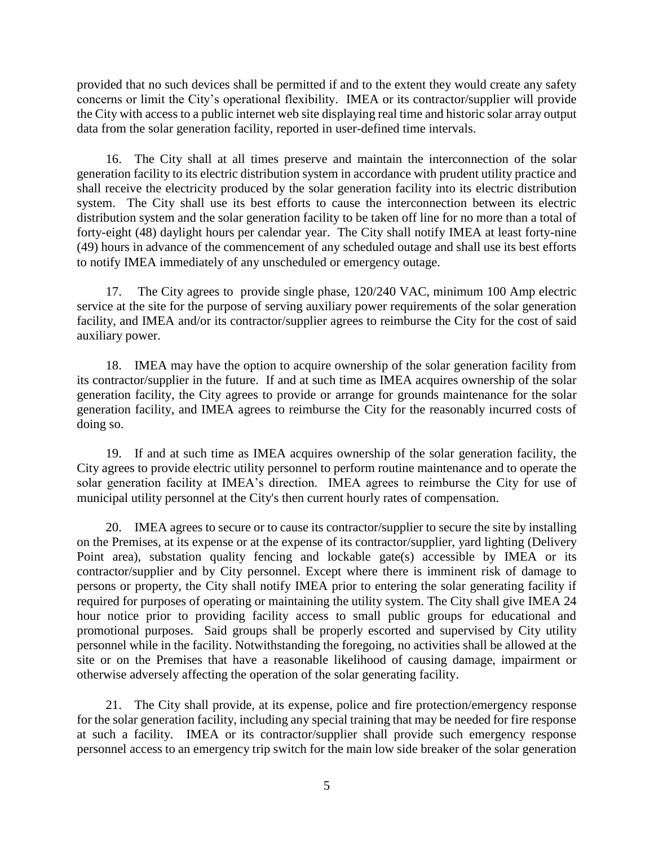provided that no such devices shall be permitted if and to the extent they would create any safety concerns or limit the City's operational flexibility. IMEA or its contractor/supplier will provide the City with access to a public internet web site displaying real time and historic solar array output data from the solar generation facility, reported in user-defined time intervals.

16. The City shall at all times preserve and maintain the interconnection of the solar generation facility to its electric distribution system in accordance with prudent utility practice and shall receive the electricity produced by the solar generation facility into its electric distribution system. The City shall use its best efforts to cause the interconnection between its electric distribution system and the solar generation facility to be taken off line for no more than a total of forty-eight (48) daylight hours per calendar year. The City shall notify IMEA at least forty-nine (49) hours in advance of the commencement of any scheduled outage and shall use its best efforts to notify IMEA immediately of any unscheduled or emergency outage.

17. The City agrees to provide single phase, 120/240 VAC, minimum 100 Amp electric service at the site for the purpose of serving auxiliary power requirements of the solar generation facility, and IMEA and/or its contractor/supplier agrees to reimburse the City for the cost of said auxiliary power.

18. IMEA may have the option to acquire ownership of the solar generation facility from its contractor/supplier in the future. If and at such time as IMEA acquires ownership of the solar generation facility, the City agrees to provide or arrange for grounds maintenance for the solar generation facility, and IMEA agrees to reimburse the City for the reasonably incurred costs of doing so.

19. If and at such time as IMEA acquires ownership of the solar generation facility, the City agrees to provide electric utility personnel to perform routine maintenance and to operate the solar generation facility at IMEA's direction. IMEA agrees to reimburse the City for use of municipal utility personnel at the City's then current hourly rates of compensation.

20. IMEA agrees to secure or to cause its contractor/supplier to secure the site by installing on the Premises, at its expense or at the expense of its contractor/supplier, yard lighting (Delivery Point area), substation quality fencing and lockable gate(s) accessible by IMEA or its contractor/supplier and by City personnel. Except where there is imminent risk of damage to persons or property, the City shall notify IMEA prior to entering the solar generating facility if required for purposes of operating or maintaining the utility system. The City shall give IMEA 24 hour notice prior to providing facility access to small public groups for educational and promotional purposes. Said groups shall be properly escorted and supervised by City utility personnel while in the facility. Notwithstanding the foregoing, no activities shall be allowed at the site or on the Premises that have a reasonable likelihood of causing damage, impairment or otherwise adversely affecting the operation of the solar generating facility.

21. The City shall provide, at its expense, police and fire protection/emergency response for the solar generation facility, including any special training that may be needed for fire response at such a facility. IMEA or its contractor/supplier shall provide such emergency response personnel access to an emergency trip switch for the main low side breaker of the solar generation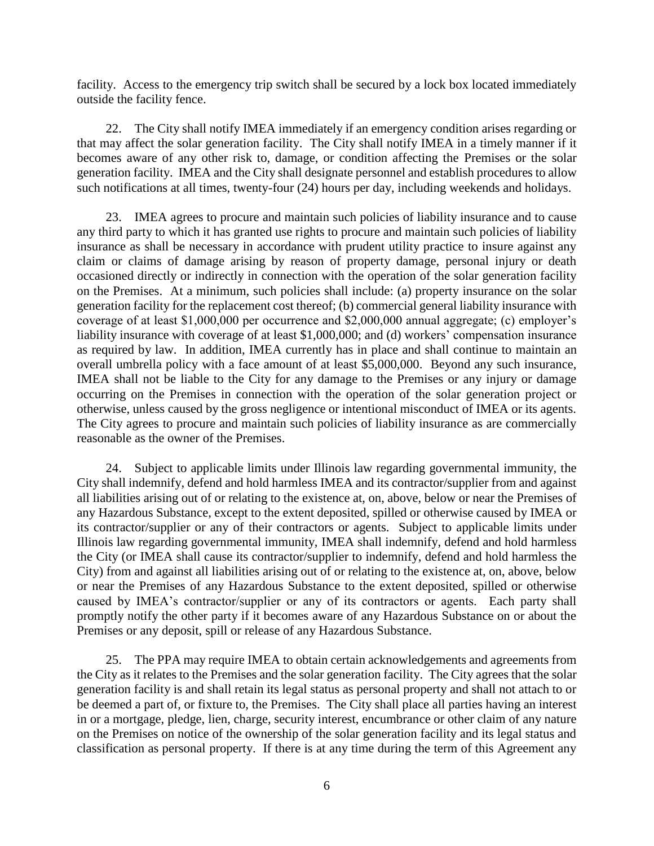facility. Access to the emergency trip switch shall be secured by a lock box located immediately outside the facility fence.

22. The City shall notify IMEA immediately if an emergency condition arises regarding or that may affect the solar generation facility. The City shall notify IMEA in a timely manner if it becomes aware of any other risk to, damage, or condition affecting the Premises or the solar generation facility. IMEA and the City shall designate personnel and establish procedures to allow such notifications at all times, twenty-four (24) hours per day, including weekends and holidays.

23. IMEA agrees to procure and maintain such policies of liability insurance and to cause any third party to which it has granted use rights to procure and maintain such policies of liability insurance as shall be necessary in accordance with prudent utility practice to insure against any claim or claims of damage arising by reason of property damage, personal injury or death occasioned directly or indirectly in connection with the operation of the solar generation facility on the Premises. At a minimum, such policies shall include: (a) property insurance on the solar generation facility for the replacement cost thereof; (b) commercial general liability insurance with coverage of at least \$1,000,000 per occurrence and \$2,000,000 annual aggregate; (c) employer's liability insurance with coverage of at least \$1,000,000; and (d) workers' compensation insurance as required by law. In addition, IMEA currently has in place and shall continue to maintain an overall umbrella policy with a face amount of at least \$5,000,000. Beyond any such insurance, IMEA shall not be liable to the City for any damage to the Premises or any injury or damage occurring on the Premises in connection with the operation of the solar generation project or otherwise, unless caused by the gross negligence or intentional misconduct of IMEA or its agents. The City agrees to procure and maintain such policies of liability insurance as are commercially reasonable as the owner of the Premises.

24. Subject to applicable limits under Illinois law regarding governmental immunity, the City shall indemnify, defend and hold harmless IMEA and its contractor/supplier from and against all liabilities arising out of or relating to the existence at, on, above, below or near the Premises of any Hazardous Substance, except to the extent deposited, spilled or otherwise caused by IMEA or its contractor/supplier or any of their contractors or agents. Subject to applicable limits under Illinois law regarding governmental immunity, IMEA shall indemnify, defend and hold harmless the City (or IMEA shall cause its contractor/supplier to indemnify, defend and hold harmless the City) from and against all liabilities arising out of or relating to the existence at, on, above, below or near the Premises of any Hazardous Substance to the extent deposited, spilled or otherwise caused by IMEA's contractor/supplier or any of its contractors or agents. Each party shall promptly notify the other party if it becomes aware of any Hazardous Substance on or about the Premises or any deposit, spill or release of any Hazardous Substance.

25. The PPA may require IMEA to obtain certain acknowledgements and agreements from the City as it relates to the Premises and the solar generation facility. The City agrees that the solar generation facility is and shall retain its legal status as personal property and shall not attach to or be deemed a part of, or fixture to, the Premises. The City shall place all parties having an interest in or a mortgage, pledge, lien, charge, security interest, encumbrance or other claim of any nature on the Premises on notice of the ownership of the solar generation facility and its legal status and classification as personal property. If there is at any time during the term of this Agreement any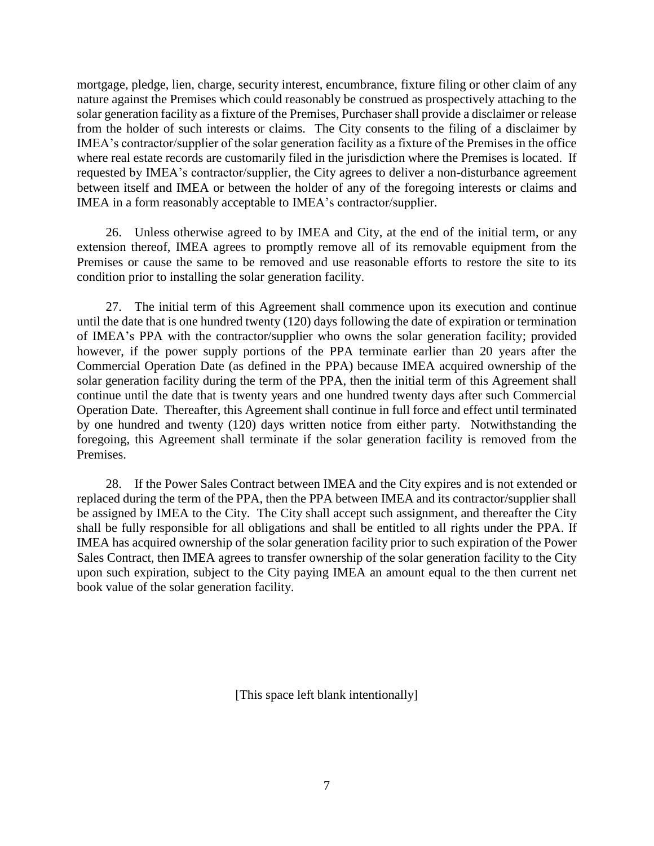mortgage, pledge, lien, charge, security interest, encumbrance, fixture filing or other claim of any nature against the Premises which could reasonably be construed as prospectively attaching to the solar generation facility as a fixture of the Premises, Purchaser shall provide a disclaimer or release from the holder of such interests or claims. The City consents to the filing of a disclaimer by IMEA's contractor/supplier of the solar generation facility as a fixture of the Premises in the office where real estate records are customarily filed in the jurisdiction where the Premises is located. If requested by IMEA's contractor/supplier, the City agrees to deliver a non-disturbance agreement between itself and IMEA or between the holder of any of the foregoing interests or claims and IMEA in a form reasonably acceptable to IMEA's contractor/supplier.

26. Unless otherwise agreed to by IMEA and City, at the end of the initial term, or any extension thereof, IMEA agrees to promptly remove all of its removable equipment from the Premises or cause the same to be removed and use reasonable efforts to restore the site to its condition prior to installing the solar generation facility.

27. The initial term of this Agreement shall commence upon its execution and continue until the date that is one hundred twenty (120) days following the date of expiration or termination of IMEA's PPA with the contractor/supplier who owns the solar generation facility; provided however, if the power supply portions of the PPA terminate earlier than 20 years after the Commercial Operation Date (as defined in the PPA) because IMEA acquired ownership of the solar generation facility during the term of the PPA, then the initial term of this Agreement shall continue until the date that is twenty years and one hundred twenty days after such Commercial Operation Date. Thereafter, this Agreement shall continue in full force and effect until terminated by one hundred and twenty (120) days written notice from either party. Notwithstanding the foregoing, this Agreement shall terminate if the solar generation facility is removed from the Premises.

28. If the Power Sales Contract between IMEA and the City expires and is not extended or replaced during the term of the PPA, then the PPA between IMEA and its contractor/supplier shall be assigned by IMEA to the City. The City shall accept such assignment, and thereafter the City shall be fully responsible for all obligations and shall be entitled to all rights under the PPA. If IMEA has acquired ownership of the solar generation facility prior to such expiration of the Power Sales Contract, then IMEA agrees to transfer ownership of the solar generation facility to the City upon such expiration, subject to the City paying IMEA an amount equal to the then current net book value of the solar generation facility.

[This space left blank intentionally]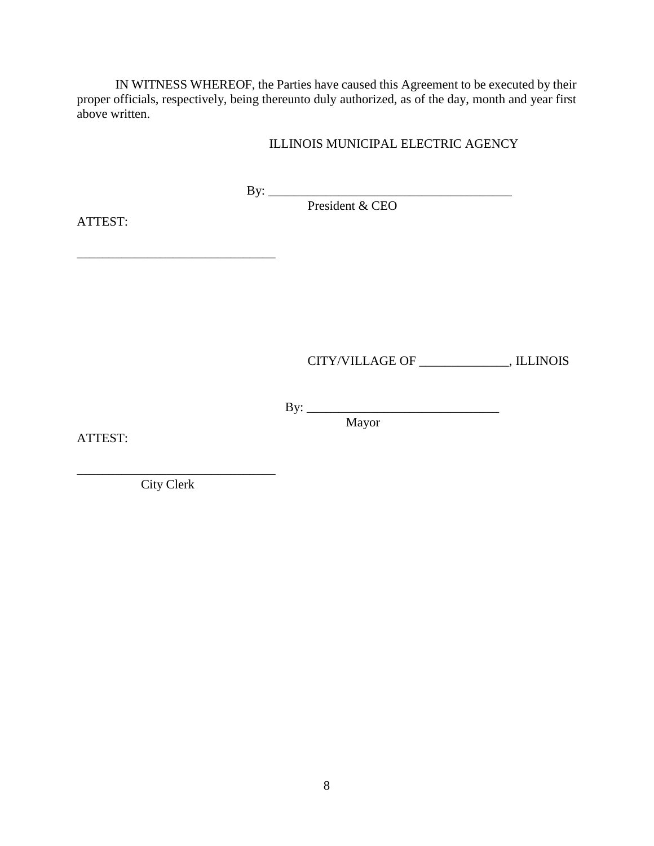IN WITNESS WHEREOF, the Parties have caused this Agreement to be executed by their proper officials, respectively, being thereunto duly authorized, as of the day, month and year first above written.

#### ILLINOIS MUNICIPAL ELECTRIC AGENCY

By: \_\_\_\_\_\_\_\_\_\_\_\_\_\_\_\_\_\_\_\_\_\_\_\_\_\_\_\_\_\_\_\_\_\_\_\_\_\_

President & CEO

ATTEST:

 $\mathcal{L}_\text{max}$  , where  $\mathcal{L}_\text{max}$  and  $\mathcal{L}_\text{max}$  and  $\mathcal{L}_\text{max}$ 

CITY/VILLAGE OF \_\_\_\_\_\_\_\_\_\_\_\_\_\_, ILLINOIS

By: \_\_\_\_\_\_\_\_\_\_\_\_\_\_\_\_\_\_\_\_\_\_\_\_\_\_\_\_\_\_

ATTEST:

Mayor

City Clerk

\_\_\_\_\_\_\_\_\_\_\_\_\_\_\_\_\_\_\_\_\_\_\_\_\_\_\_\_\_\_\_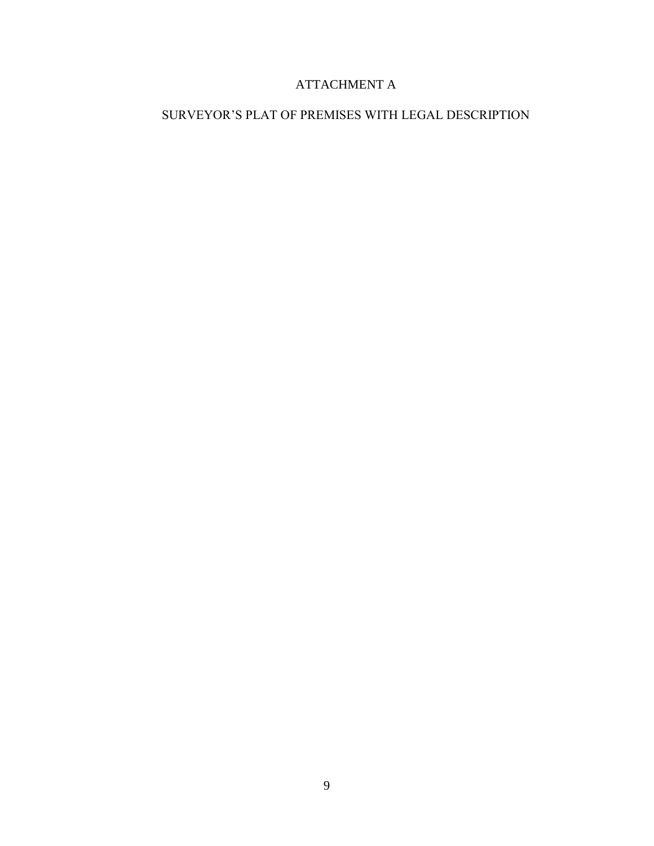# ATTACHMENT A

## SURVEYOR'S PLAT OF PREMISES WITH LEGAL DESCRIPTION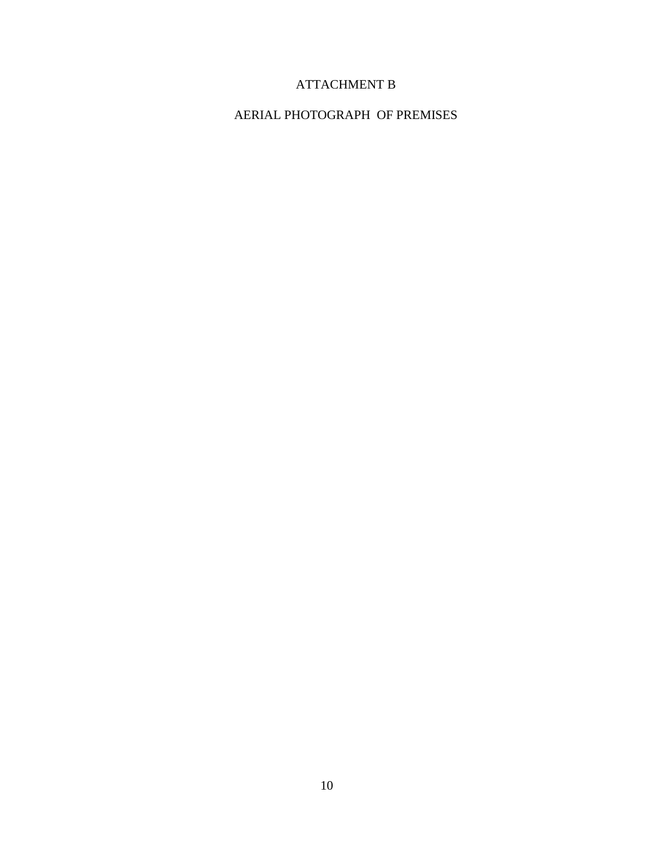# ATTACHMENT B

## AERIAL PHOTOGRAPH OF PREMISES